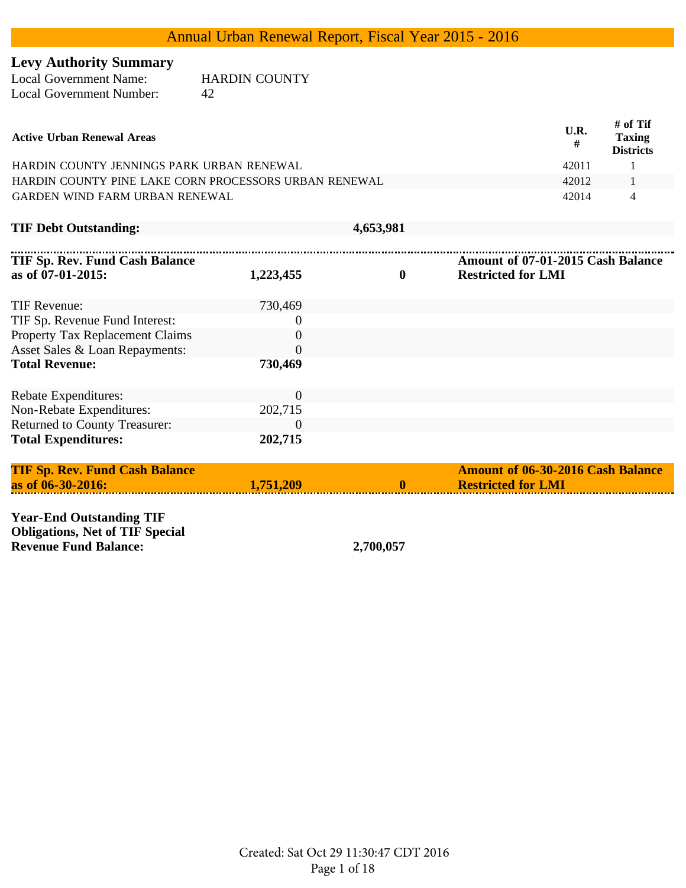# **Levy Authority Summary**

| Local Government Name:   | <b>HARDIN COUNTY</b> |
|--------------------------|----------------------|
| Local Government Number: | 42                   |

| <b>Active Urban Renewal Areas</b>                     | U.R.<br># | # of Tif<br><b>Taxing</b><br><b>Districts</b> |
|-------------------------------------------------------|-----------|-----------------------------------------------|
| HARDIN COUNTY JENNINGS PARK URBAN RENEWAL             | 42011     |                                               |
| HARDIN COUNTY PINE LAKE CORN PROCESSORS URBAN RENEWAL | 42012     |                                               |
| GARDEN WIND FARM URBAN RENEWAL                        | 42014     |                                               |

**TIF Debt Outstanding: 4,653,981**

| <b>TIF Debt Outstanding:</b> |  |  |  |
|------------------------------|--|--|--|
|------------------------------|--|--|--|

| <b>TIF Sp. Rev. Fund Cash Balance</b> |                |          | Amount of 07-01-2015 Cash Balance |
|---------------------------------------|----------------|----------|-----------------------------------|
| as of 07-01-2015:                     | 1,223,455      | $\bf{0}$ | <b>Restricted for LMI</b>         |
| TIF Revenue:                          | 730,469        |          |                                   |
| TIF Sp. Revenue Fund Interest:        | $\theta$       |          |                                   |
| Property Tax Replacement Claims       | $\theta$       |          |                                   |
| Asset Sales & Loan Repayments:        | 0              |          |                                   |
| <b>Total Revenue:</b>                 | 730,469        |          |                                   |
| <b>Rebate Expenditures:</b>           | $\overline{0}$ |          |                                   |
| Non-Rebate Expenditures:              | 202,715        |          |                                   |
| <b>Returned to County Treasurer:</b>  | $\Omega$       |          |                                   |
| <b>Total Expenditures:</b>            | 202,715        |          |                                   |

| <b>TIF Sp. Rev. Fund Cash Balance</b> |           | <b>Amount of 06-30-2016 Cash Balance</b> |
|---------------------------------------|-----------|------------------------------------------|
| as of 06-30-2016:                     | 1.751.209 | <b>Restricted for LMI</b>                |
|                                       |           |                                          |

**Year-End Outstanding TIF Obligations, Net of TIF Special Revenue Fund Balance: 2,700,057**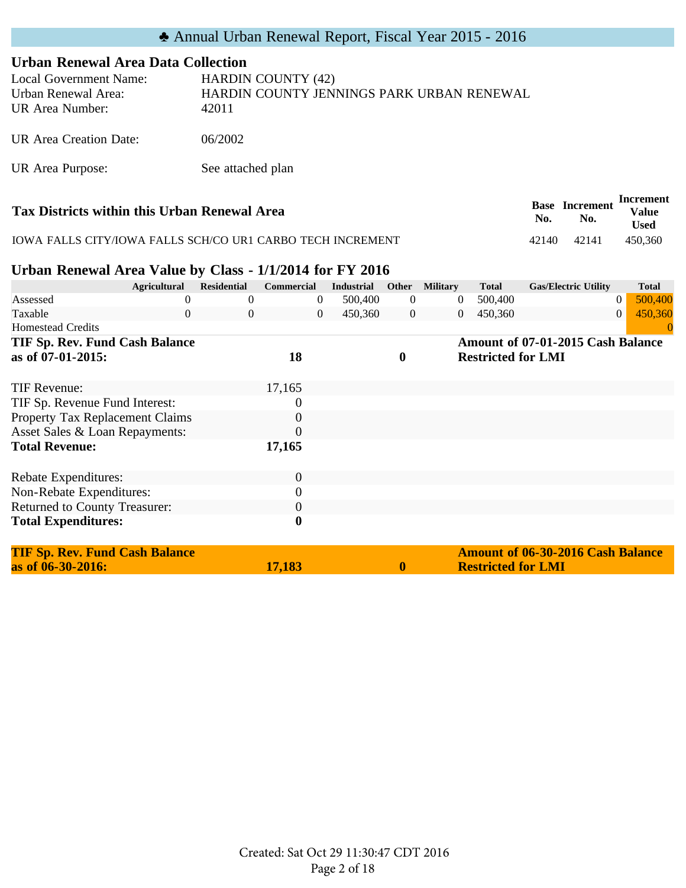| <b>Urban Renewal Area Data Collection</b>                        |                                                                                 |
|------------------------------------------------------------------|---------------------------------------------------------------------------------|
| Local Government Name:<br>Urban Renewal Area:<br>UR Area Number: | <b>HARDIN COUNTY (42)</b><br>HARDIN COUNTY JENNINGS PARK URBAN RENEWAL<br>42011 |
| UR Area Creation Date:                                           | 06/2002                                                                         |
| UR Area Purpose:                                                 | See attached plan                                                               |
|                                                                  | Increm                                                                          |

| Tax Districts within this Urban Renewal Area               | No.   | <b>Base Increment</b><br>No. | Increment<br>Value<br><b>Used</b> |
|------------------------------------------------------------|-------|------------------------------|-----------------------------------|
| IOWA FALLS CITY/IOWA FALLS SCH/CO UR1 CARBO TECH INCREMENT | 42140 | 42141                        | 450.360                           |

### **Urban Renewal Area Value by Class - 1/1/2014 for FY 2016**

| <b>Agricultural</b>                   |          | <b>Residential</b> | <b>Commercial</b> | <b>Industrial</b> | <b>Other</b>     | <b>Military</b> | <b>Total</b>              | <b>Gas/Electric Utility</b>              | <b>Total</b>              |
|---------------------------------------|----------|--------------------|-------------------|-------------------|------------------|-----------------|---------------------------|------------------------------------------|---------------------------|
| Assessed                              |          | $_{0}$             | $\theta$          | 500,400           | $\theta$         | $\overline{0}$  | 500,400                   |                                          | 500,400<br>$\theta$       |
| Taxable                               | $\Omega$ | 0                  | $\overline{0}$    | 450,360           | $\overline{0}$   | $\overline{0}$  | 450,360                   |                                          | 450,360<br>$\overline{0}$ |
| <b>Homestead Credits</b>              |          |                    |                   |                   |                  |                 |                           |                                          |                           |
| TIF Sp. Rev. Fund Cash Balance        |          |                    |                   |                   |                  |                 |                           | Amount of 07-01-2015 Cash Balance        |                           |
| as of 07-01-2015:                     |          |                    | 18                |                   | $\boldsymbol{0}$ |                 | <b>Restricted for LMI</b> |                                          |                           |
| TIF Revenue:                          |          |                    | 17,165            |                   |                  |                 |                           |                                          |                           |
| TIF Sp. Revenue Fund Interest:        |          |                    | 0                 |                   |                  |                 |                           |                                          |                           |
| Property Tax Replacement Claims       |          |                    | $\boldsymbol{0}$  |                   |                  |                 |                           |                                          |                           |
| Asset Sales & Loan Repayments:        |          |                    | 0                 |                   |                  |                 |                           |                                          |                           |
| <b>Total Revenue:</b>                 |          |                    | 17,165            |                   |                  |                 |                           |                                          |                           |
| Rebate Expenditures:                  |          |                    | $\boldsymbol{0}$  |                   |                  |                 |                           |                                          |                           |
| Non-Rebate Expenditures:              |          |                    | $\boldsymbol{0}$  |                   |                  |                 |                           |                                          |                           |
| <b>Returned to County Treasurer:</b>  |          |                    | $\boldsymbol{0}$  |                   |                  |                 |                           |                                          |                           |
| <b>Total Expenditures:</b>            |          |                    | $\boldsymbol{0}$  |                   |                  |                 |                           |                                          |                           |
| <b>TIF Sp. Rev. Fund Cash Balance</b> |          |                    |                   |                   |                  |                 |                           | <b>Amount of 06-30-2016 Cash Balance</b> |                           |
| as of 06-30-2016:                     |          |                    | 17,183            |                   | 0                |                 | <b>Restricted for LMI</b> |                                          |                           |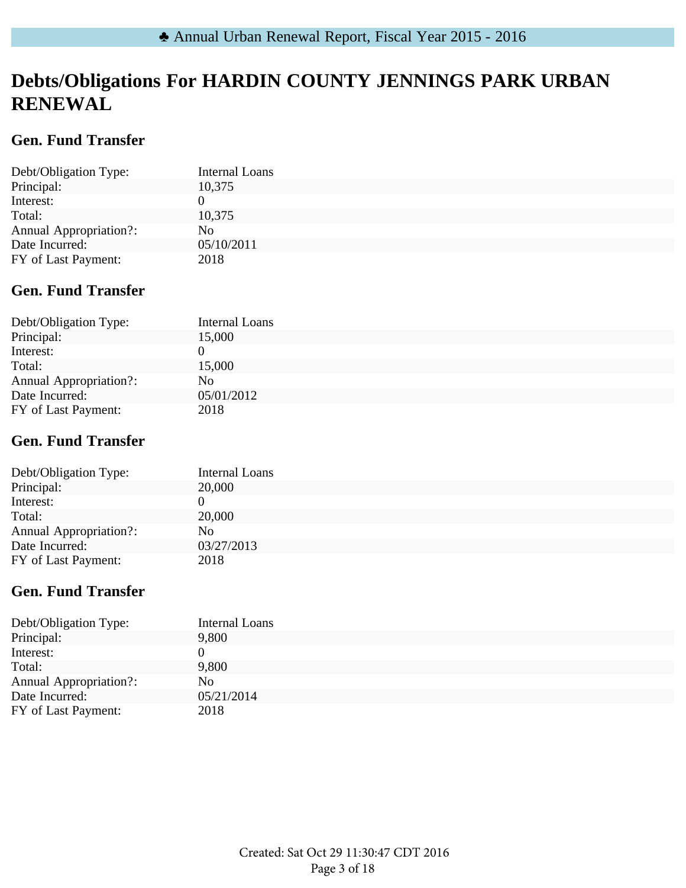# **Debts/Obligations For HARDIN COUNTY JENNINGS PARK URBAN RENEWAL**

## **Gen. Fund Transfer**

| Debt/Obligation Type:         | <b>Internal Loans</b> |
|-------------------------------|-----------------------|
| Principal:                    | 10,375                |
| Interest:                     |                       |
| Total:                        | 10,375                |
| <b>Annual Appropriation?:</b> | No.                   |
| Date Incurred:                | 05/10/2011            |
| FY of Last Payment:           | 2018                  |

## **Gen. Fund Transfer**

| Debt/Obligation Type:         | Internal Loans |
|-------------------------------|----------------|
| Principal:                    | 15,000         |
| Interest:                     |                |
| Total:                        | 15,000         |
| <b>Annual Appropriation?:</b> | No             |
| Date Incurred:                | 05/01/2012     |
| FY of Last Payment:           | 2018           |

## **Gen. Fund Transfer**

| Debt/Obligation Type:         | Internal Loans |
|-------------------------------|----------------|
| Principal:                    | 20,000         |
| Interest:                     |                |
| Total:                        | 20,000         |
| <b>Annual Appropriation?:</b> | No.            |
| Date Incurred:                | 03/27/2013     |
| FY of Last Payment:           | 2018           |

## **Gen. Fund Transfer**

| Debt/Obligation Type:         | <b>Internal Loans</b> |
|-------------------------------|-----------------------|
| Principal:                    | 9,800                 |
| Interest:                     |                       |
| Total:                        | 9,800                 |
| <b>Annual Appropriation?:</b> | No.                   |
| Date Incurred:                | 05/21/2014            |
| FY of Last Payment:           | 2018                  |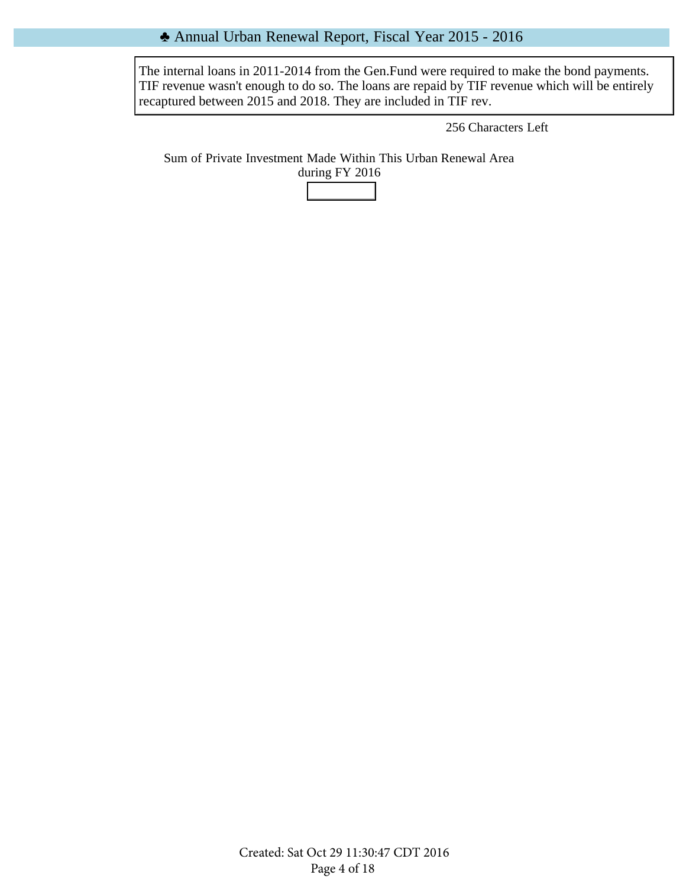#### ♣ Annual Urban Renewal Report, Fiscal Year 2015 - 2016

The internal loans in 2011-2014 from the Gen.Fund were required to make the bond payments. TIF revenue wasn't enough to do so. The loans are repaid by TIF revenue which will be entirely recaptured between 2015 and 2018. They are included in TIF rev.

256 Characters Left

Sum of Private Investment Made Within This Urban Renewal Area during FY 2016

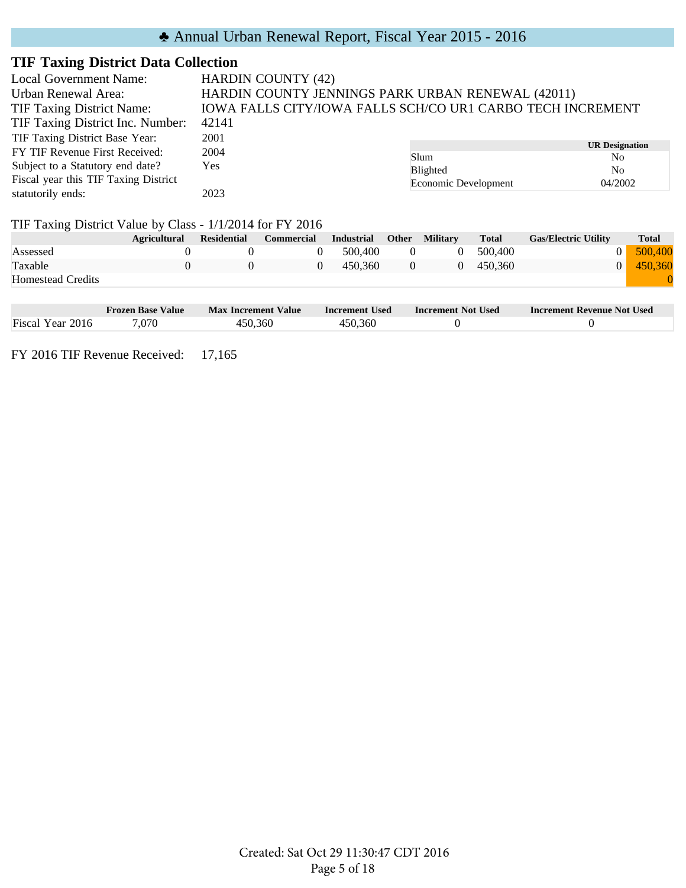| <b>Local Government Name:</b>        | <b>HARDIN COUNTY (42)</b>                                  |                      |                              |  |  |  |
|--------------------------------------|------------------------------------------------------------|----------------------|------------------------------|--|--|--|
| Urban Renewal Area:                  | HARDIN COUNTY JENNINGS PARK URBAN RENEWAL (42011)          |                      |                              |  |  |  |
| <b>TIF Taxing District Name:</b>     | IOWA FALLS CITY/IOWA FALLS SCH/CO UR1 CARBO TECH INCREMENT |                      |                              |  |  |  |
| TIF Taxing District Inc. Number:     | 42141                                                      |                      |                              |  |  |  |
| TIF Taxing District Base Year:       | 2001                                                       |                      |                              |  |  |  |
| FY TIF Revenue First Received:       | 2004                                                       | Slum                 | <b>UR Designation</b><br>No. |  |  |  |
| Subject to a Statutory end date?     | Yes                                                        | <b>Blighted</b>      | N <sub>0</sub>               |  |  |  |
| Fiscal year this TIF Taxing District |                                                            | Economic Development | 04/2002                      |  |  |  |
| statutorily ends:                    | 2023                                                       |                      |                              |  |  |  |

#### TIF Taxing District Value by Class - 1/1/2014 for FY 2016

|                          | <b>Agricultural</b> | Residential | <b>Commercial</b> | Industrial | Other | Militarv | <b>Total</b> | <b>Gas/Electric Utility</b> | <b>Total</b> |
|--------------------------|---------------------|-------------|-------------------|------------|-------|----------|--------------|-----------------------------|--------------|
| Assessed                 |                     |             |                   | 500,400    | 0     |          | 500,400      |                             | 500,400      |
| Taxable                  |                     |             |                   | 450.360    |       |          | 450.360      |                             | 450.360      |
| <b>Homestead Credits</b> |                     |             |                   |            |       |          |              |                             |              |
|                          |                     |             |                   |            |       |          |              |                             |              |

|                  | Frozen Base Value | <b>Max Increment Value</b> | <b>Increment Used</b> | <b>Increment Not Used</b> | <b>Increment Revenue Not Used</b> |
|------------------|-------------------|----------------------------|-----------------------|---------------------------|-----------------------------------|
| Fiscal Year 2016 | .070              | 450,360                    | 450.360               |                           |                                   |

FY 2016 TIF Revenue Received: 17,165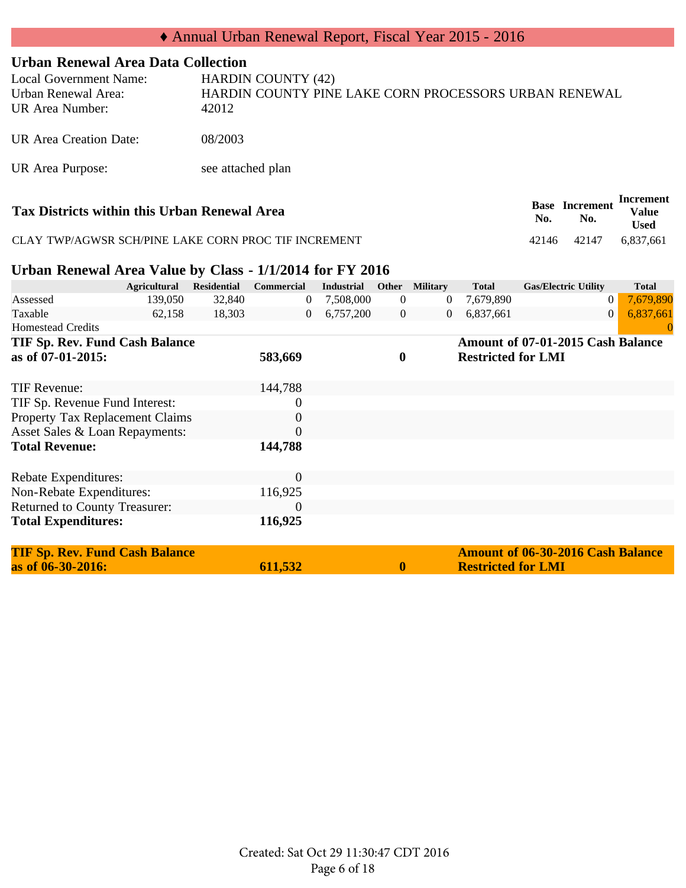#### **Urban Renewal Area Data Collection**

| <b>Local Government Name:</b><br>Urban Renewal Area:<br>UR Area Number: | <b>HARDIN COUNTY (42)</b><br>HARDIN COUNTY PINE LAKE CORN PROCESSORS URBAN RENEWAL<br>42012 |
|-------------------------------------------------------------------------|---------------------------------------------------------------------------------------------|
| UR Area Creation Date:                                                  | 08/2003                                                                                     |
| UR Area Purpose:                                                        | see attached plan                                                                           |

| Tax Districts within this Urban Renewal Area         | No.   | <b>Base</b> Increment<br>No. | Increment<br><b>Value</b><br><b>Used</b> |
|------------------------------------------------------|-------|------------------------------|------------------------------------------|
| CLAY TWP/AGWSR SCH/PINE LAKE CORN PROC TIF INCREMENT | 42146 | 42147                        | 6.837.661                                |

#### **Urban Renewal Area Value by Class - 1/1/2014 for FY 2016**

|                                       | <b>Agricultural</b> | <b>Residential</b> | <b>Commercial</b> | <b>Industrial</b> | Other            | <b>Military</b> | <b>Total</b>              | <b>Gas/Electric Utility</b>              | <b>Total</b> |
|---------------------------------------|---------------------|--------------------|-------------------|-------------------|------------------|-----------------|---------------------------|------------------------------------------|--------------|
| Assessed                              | 139,050             | 32,840             | $\mathbf{0}$      | 7,508,000         | $\overline{0}$   | $\theta$        | 7,679,890                 | $\boldsymbol{0}$                         | 7,679,890    |
| Taxable                               | 62,158              | 18,303             | $\overline{0}$    | 6,757,200         | $\overline{0}$   | 0               | 6,837,661                 | $\theta$                                 | 6,837,661    |
| <b>Homestead Credits</b>              |                     |                    |                   |                   |                  |                 |                           |                                          |              |
| <b>TIF Sp. Rev. Fund Cash Balance</b> |                     |                    |                   |                   |                  |                 |                           | Amount of 07-01-2015 Cash Balance        |              |
| as of 07-01-2015:                     |                     |                    | 583,669           |                   | $\boldsymbol{0}$ |                 | <b>Restricted for LMI</b> |                                          |              |
|                                       |                     |                    | 144,788           |                   |                  |                 |                           |                                          |              |
| TIF Revenue:                          |                     |                    |                   |                   |                  |                 |                           |                                          |              |
| TIF Sp. Revenue Fund Interest:        |                     |                    | $\boldsymbol{0}$  |                   |                  |                 |                           |                                          |              |
| Property Tax Replacement Claims       |                     |                    | $\overline{0}$    |                   |                  |                 |                           |                                          |              |
| Asset Sales & Loan Repayments:        |                     |                    | $\overline{0}$    |                   |                  |                 |                           |                                          |              |
| <b>Total Revenue:</b>                 |                     |                    | 144,788           |                   |                  |                 |                           |                                          |              |
|                                       |                     |                    |                   |                   |                  |                 |                           |                                          |              |
| Rebate Expenditures:                  |                     |                    | $\boldsymbol{0}$  |                   |                  |                 |                           |                                          |              |
| Non-Rebate Expenditures:              |                     |                    | 116,925           |                   |                  |                 |                           |                                          |              |
| Returned to County Treasurer:         |                     |                    | $\theta$          |                   |                  |                 |                           |                                          |              |
| <b>Total Expenditures:</b>            |                     |                    | 116,925           |                   |                  |                 |                           |                                          |              |
| <b>TIF Sp. Rev. Fund Cash Balance</b> |                     |                    |                   |                   |                  |                 |                           | <b>Amount of 06-30-2016 Cash Balance</b> |              |
| as of 06-30-2016:                     |                     |                    | 611,532           |                   | 0                |                 | <b>Restricted for LMI</b> |                                          |              |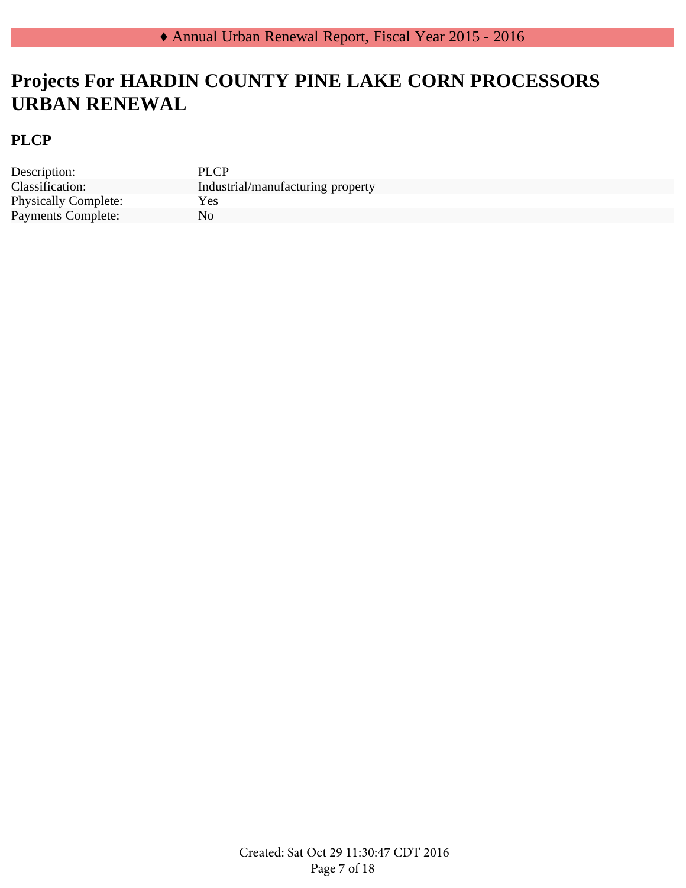# **Projects For HARDIN COUNTY PINE LAKE CORN PROCESSORS URBAN RENEWAL**

### **PLCP**

Description: PLCP Physically Complete: Yes Payments Complete: No

Classification: Industrial/manufacturing property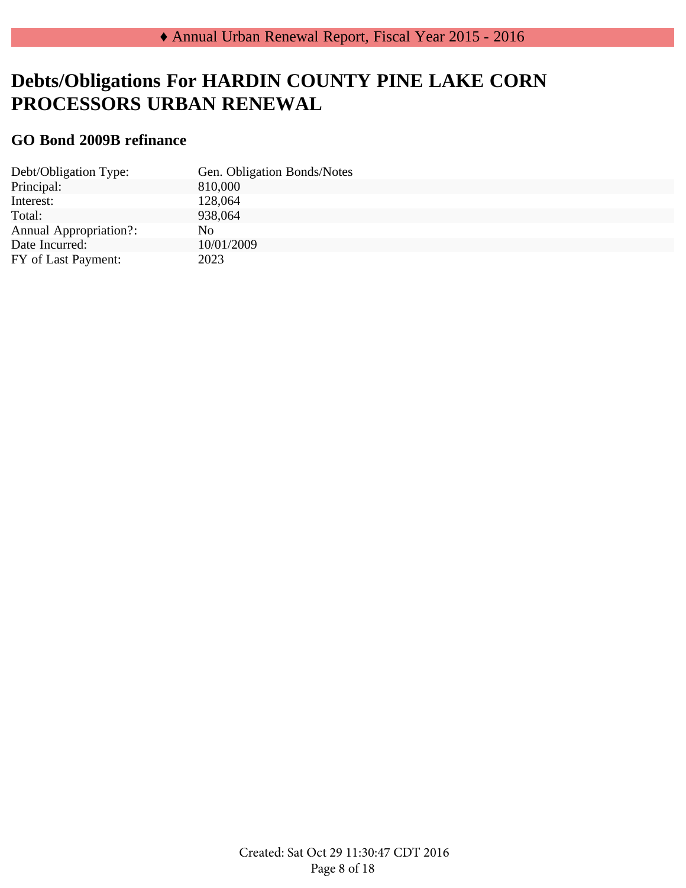# **Debts/Obligations For HARDIN COUNTY PINE LAKE CORN PROCESSORS URBAN RENEWAL**

### **GO Bond 2009B refinance**

| Debt/Obligation Type:         | Gen. Obligation Bonds/Notes |
|-------------------------------|-----------------------------|
| Principal:                    | 810,000                     |
| Interest:                     | 128,064                     |
| Total:                        | 938,064                     |
| <b>Annual Appropriation?:</b> | No.                         |
| Date Incurred:                | 10/01/2009                  |
| FY of Last Payment:           | 2023                        |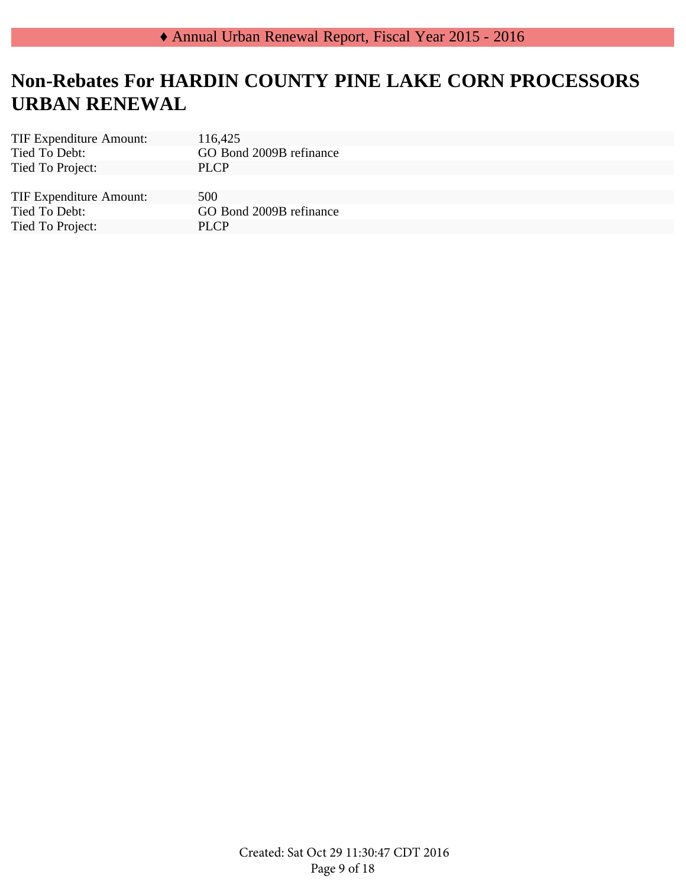# **Non-Rebates For HARDIN COUNTY PINE LAKE CORN PROCESSORS URBAN RENEWAL**

| <b>TIF Expenditure Amount:</b> | 116,425                 |
|--------------------------------|-------------------------|
| Tied To Debt:                  | GO Bond 2009B refinance |
| Tied To Project:               | <b>PLCP</b>             |
|                                |                         |
| <b>TIF Expenditure Amount:</b> | 500                     |
| Tied To Debt:                  | GO Bond 2009B refinance |
| Tied To Project:               | PLCP                    |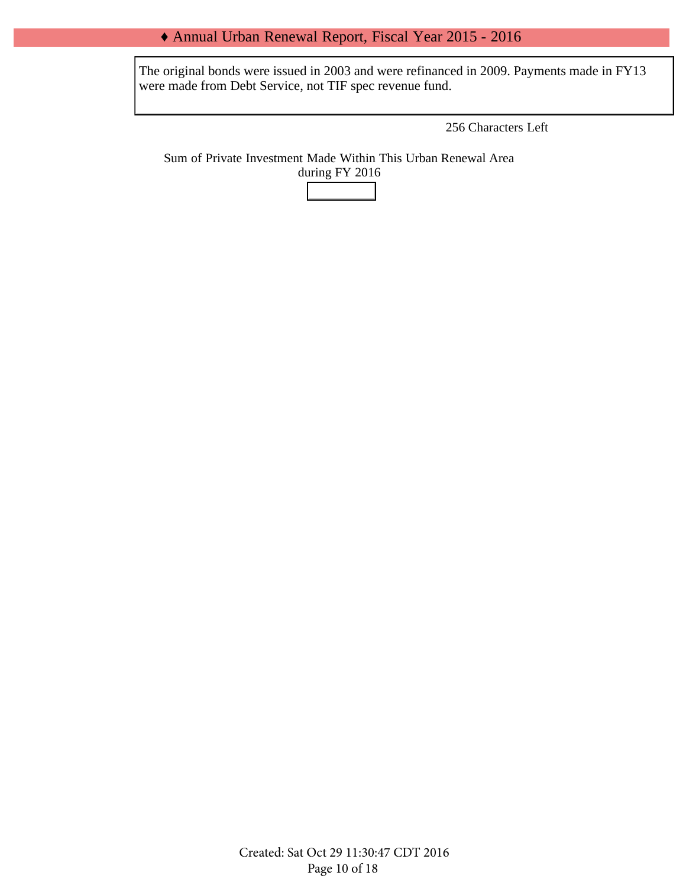#### ♦ Annual Urban Renewal Report, Fiscal Year 2015 - 2016

The original bonds were issued in 2003 and were refinanced in 2009. Payments made in FY13 were made from Debt Service, not TIF spec revenue fund.

256 Characters Left

Sum of Private Investment Made Within This Urban Renewal Area during FY 2016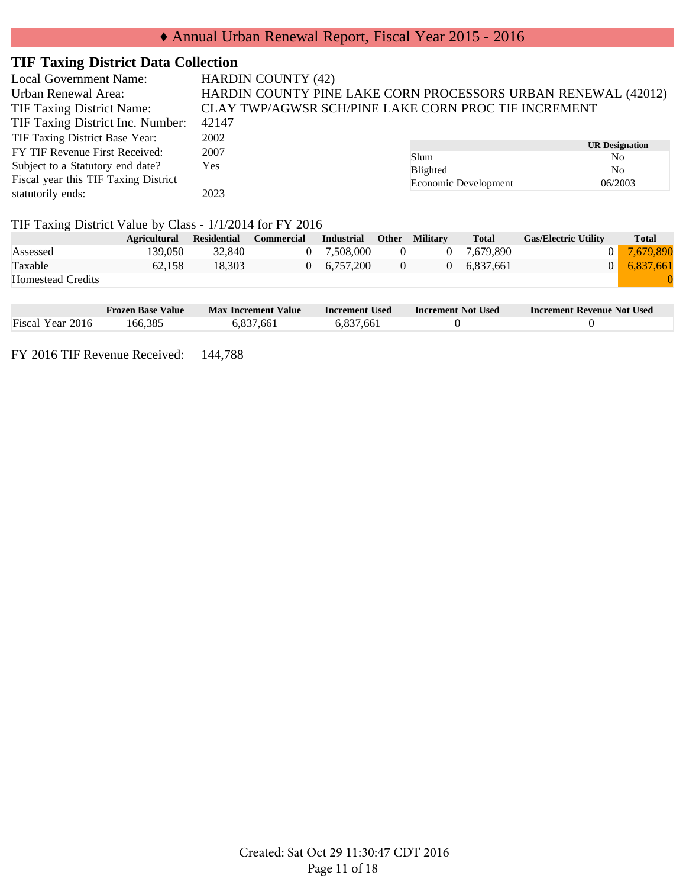| <b>Local Government Name:</b>        | <b>HARDIN COUNTY (42)</b>                                     |                      |                                         |  |  |
|--------------------------------------|---------------------------------------------------------------|----------------------|-----------------------------------------|--|--|
| Urban Renewal Area:                  | HARDIN COUNTY PINE LAKE CORN PROCESSORS URBAN RENEWAL (42012) |                      |                                         |  |  |
| <b>TIF Taxing District Name:</b>     | CLAY TWP/AGWSR SCH/PINE LAKE CORN PROC TIF INCREMENT          |                      |                                         |  |  |
| TIF Taxing District Inc. Number:     | 42147                                                         |                      |                                         |  |  |
| TIF Taxing District Base Year:       | 2002                                                          |                      |                                         |  |  |
| FY TIF Revenue First Received:       | 2007                                                          | Slum                 | <b>UR Designation</b><br>N <sub>0</sub> |  |  |
| Subject to a Statutory end date?     | Yes                                                           | Blighted             | N <sub>0</sub>                          |  |  |
| Fiscal year this TIF Taxing District |                                                               | Economic Development | 06/2003                                 |  |  |
| statutorily ends:                    | 2023                                                          |                      |                                         |  |  |

#### TIF Taxing District Value by Class - 1/1/2014 for FY 2016

|                          | <b>Agricultural</b> | <b>Residential</b> | <b>Commercial</b> | Industrial          | <b>Other</b> | <b>Military</b> | <b>Total</b> | <b>Gas/Electric Utility</b> | <b>Total</b>        |
|--------------------------|---------------------|--------------------|-------------------|---------------------|--------------|-----------------|--------------|-----------------------------|---------------------|
| Assessed                 | 139.050             | 32,840             |                   | 0 7.508.000         | $\theta$     | 0               | 7.679.890    |                             | 0 7,679,890         |
| Taxable                  | 62.158              | 18.303             |                   | $0 \quad 6.757.200$ | 0            | $\Omega$        | 6.837.661    |                             | $0 \quad 6.837.661$ |
| <b>Homestead Credits</b> |                     |                    |                   |                     |              |                 |              |                             |                     |

|                  | <b>Frozen Base Value</b> | Max Increment Value | Increment Used | <b>Increment Not Used</b> | <b>Increment Revenue Not Used</b> |
|------------------|--------------------------|---------------------|----------------|---------------------------|-----------------------------------|
| Fiscal Year 2016 | 166.385                  | 6,837,661           | 6,837,661      |                           |                                   |

FY 2016 TIF Revenue Received: 144,788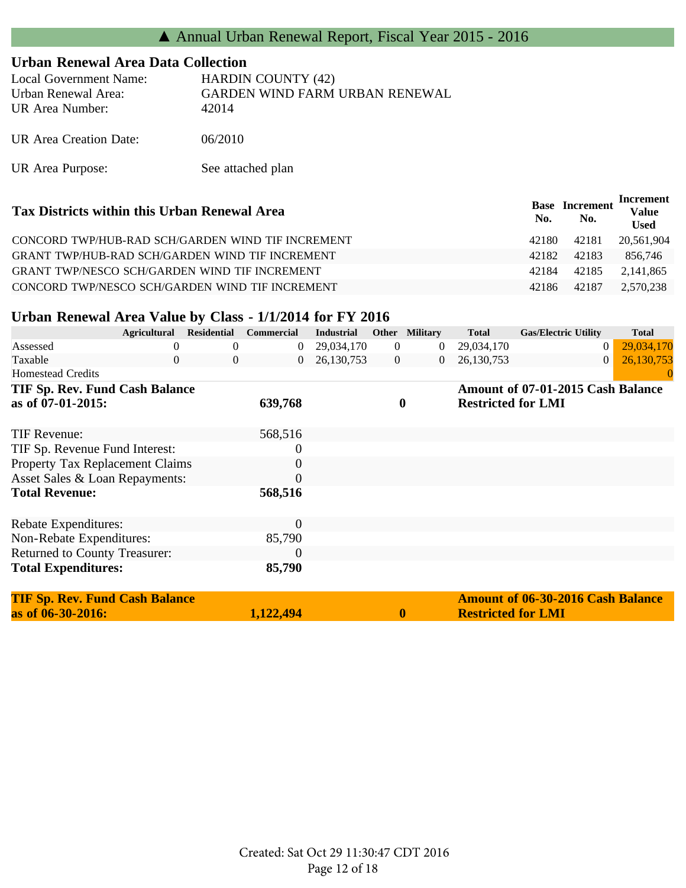### **Urban Renewal Area Data Collection**

| Local Government Name: | <b>HARDIN COUNTY (42)</b>      |
|------------------------|--------------------------------|
| Urban Renewal Area:    | GARDEN WIND FARM URBAN RENEWAL |
| UR Area Number:        | 42014                          |
| UR Area Creation Date: | 06/2010                        |

UR Area Purpose: See attached plan

| Tax Districts within this Urban Renewal Area         | Base<br>No. | <b>Increment</b><br>No. | Increment<br><b>Value</b><br><b>Used</b> |
|------------------------------------------------------|-------------|-------------------------|------------------------------------------|
| CONCORD TWP/HUB-RAD SCH/GARDEN WIND TIF INCREMENT    | 42180       | 42181                   | 20,561,904                               |
| GRANT TWP/HUB-RAD SCH/GARDEN WIND TIF INCREMENT      | 42182       | 42183                   | 856.746                                  |
| <b>GRANT TWP/NESCO SCH/GARDEN WIND TIF INCREMENT</b> | 42184       | 42185                   | 2.141.865                                |
| CONCORD TWP/NESCO SCH/GARDEN WIND TIF INCREMENT      | 42186       | 42187                   | 2.570.238                                |

## **Urban Renewal Area Value by Class - 1/1/2014 for FY 2016**

|                                       | <b>Agricultural</b> | <b>Residential</b> | <b>Commercial</b> | <b>Industrial</b> |                | Other Military   | <b>Total</b>              | <b>Gas/Electric Utility</b>              | <b>Total</b> |
|---------------------------------------|---------------------|--------------------|-------------------|-------------------|----------------|------------------|---------------------------|------------------------------------------|--------------|
| Assessed                              |                     | $\Omega$           | $\theta$          | 29,034,170        | $\overline{0}$ | $\bf{0}$         | 29,034,170                | $\theta$                                 | 29,034,170   |
| Taxable                               | $\theta$            | $\overline{0}$     | $\overline{0}$    | 26,130,753        | $\overline{0}$ | $\overline{0}$   | 26, 130, 753              | $\theta$                                 | 26,130,753   |
| <b>Homestead Credits</b>              |                     |                    |                   |                   |                |                  |                           |                                          | 0            |
| <b>TIF Sp. Rev. Fund Cash Balance</b> |                     |                    |                   |                   |                |                  |                           | Amount of 07-01-2015 Cash Balance        |              |
| as of 07-01-2015:                     |                     |                    | 639,768           |                   |                | $\boldsymbol{0}$ | <b>Restricted for LMI</b> |                                          |              |
|                                       |                     |                    |                   |                   |                |                  |                           |                                          |              |
| TIF Revenue:                          |                     |                    | 568,516           |                   |                |                  |                           |                                          |              |
| TIF Sp. Revenue Fund Interest:        |                     |                    | 0                 |                   |                |                  |                           |                                          |              |
| Property Tax Replacement Claims       |                     |                    | 0                 |                   |                |                  |                           |                                          |              |
| Asset Sales & Loan Repayments:        |                     |                    | 0                 |                   |                |                  |                           |                                          |              |
| <b>Total Revenue:</b>                 |                     |                    | 568,516           |                   |                |                  |                           |                                          |              |
|                                       |                     |                    |                   |                   |                |                  |                           |                                          |              |
| Rebate Expenditures:                  |                     |                    | $\theta$          |                   |                |                  |                           |                                          |              |
| Non-Rebate Expenditures:              |                     |                    | 85,790            |                   |                |                  |                           |                                          |              |
| Returned to County Treasurer:         |                     |                    | $\overline{0}$    |                   |                |                  |                           |                                          |              |
| <b>Total Expenditures:</b>            |                     |                    | 85,790            |                   |                |                  |                           |                                          |              |
| <b>TIF Sp. Rev. Fund Cash Balance</b> |                     |                    |                   |                   |                |                  |                           | <b>Amount of 06-30-2016 Cash Balance</b> |              |
| as of 06-30-2016:                     |                     |                    | 1,122,494         |                   |                | $\boldsymbol{0}$ | <b>Restricted for LMI</b> |                                          |              |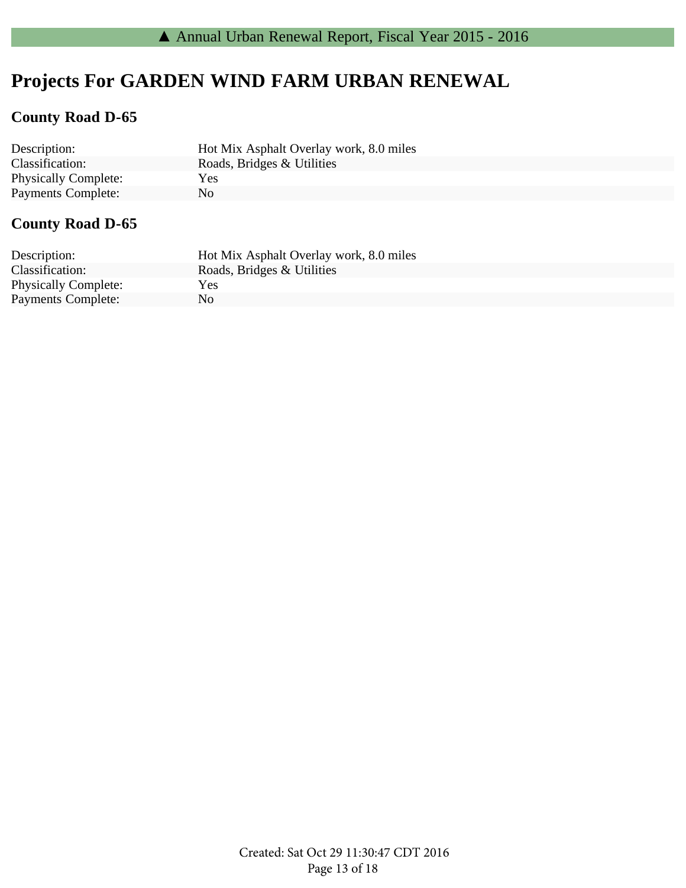# **Projects For GARDEN WIND FARM URBAN RENEWAL**

### **County Road D-65**

| Description:                | Hot Mix Asphalt Overlay work, 8.0 miles |
|-----------------------------|-----------------------------------------|
| Classification:             | Roads, Bridges & Utilities              |
| <b>Physically Complete:</b> | Yes                                     |
| <b>Payments Complete:</b>   | No.                                     |

## **County Road D-65**

| Description:                | Hot Mix Asphalt Overlay work, 8.0 miles |
|-----------------------------|-----------------------------------------|
| Classification:             | Roads, Bridges & Utilities              |
| <b>Physically Complete:</b> | <b>Yes</b>                              |
| <b>Payments Complete:</b>   | No.                                     |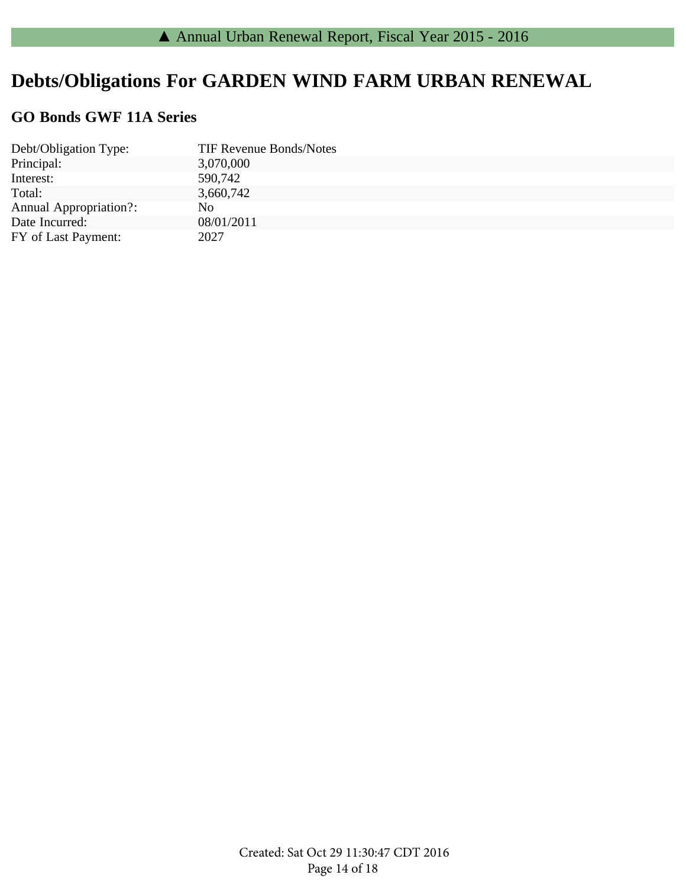# **Debts/Obligations For GARDEN WIND FARM URBAN RENEWAL**

### **GO Bonds GWF 11A Series**

| Debt/Obligation Type:         | <b>TIF Revenue Bonds/Notes</b> |
|-------------------------------|--------------------------------|
| Principal:                    | 3,070,000                      |
| Interest:                     | 590,742                        |
| Total:                        | 3,660,742                      |
| <b>Annual Appropriation?:</b> | No.                            |
| Date Incurred:                | 08/01/2011                     |
| FY of Last Payment:           | 2027                           |
|                               |                                |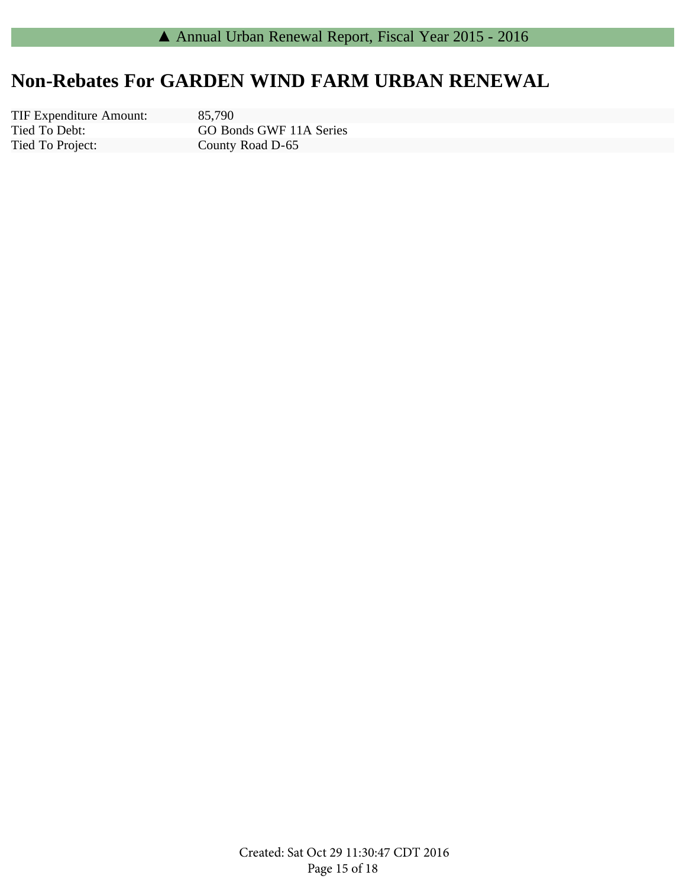# **Non-Rebates For GARDEN WIND FARM URBAN RENEWAL**

Tied To Debt: Tied To Project: TIF Expenditure Amount: 85,790

GO Bonds GWF 11A Series County Road D-65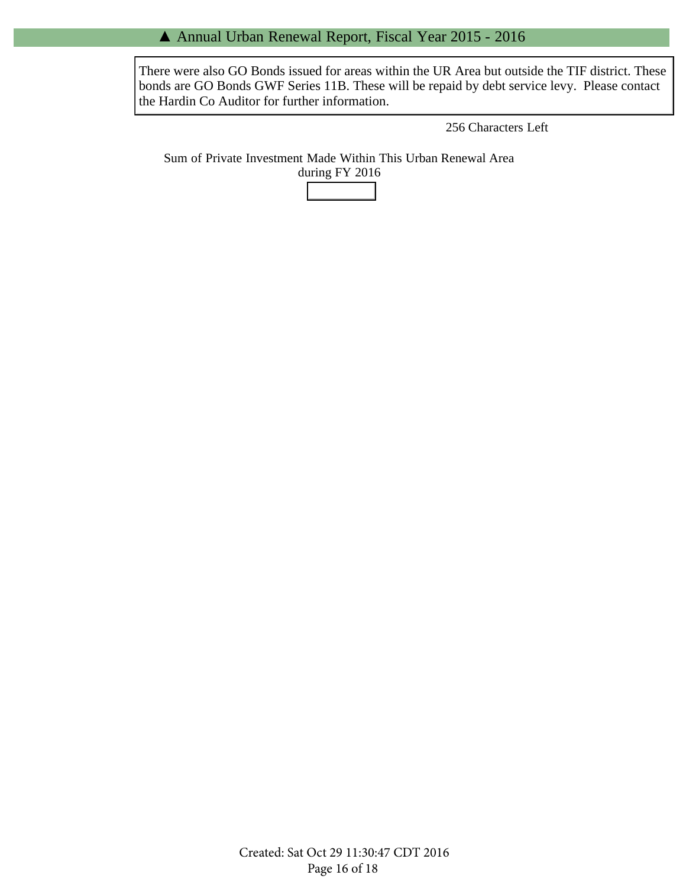#### ▲ Annual Urban Renewal Report, Fiscal Year 2015 - 2016

There were also GO Bonds issued for areas within the UR Area but outside the TIF district. These bonds are GO Bonds GWF Series 11B. These will be repaid by debt service levy. Please contact the Hardin Co Auditor for further information.

256 Characters Left

Sum of Private Investment Made Within This Urban Renewal Area during FY 2016

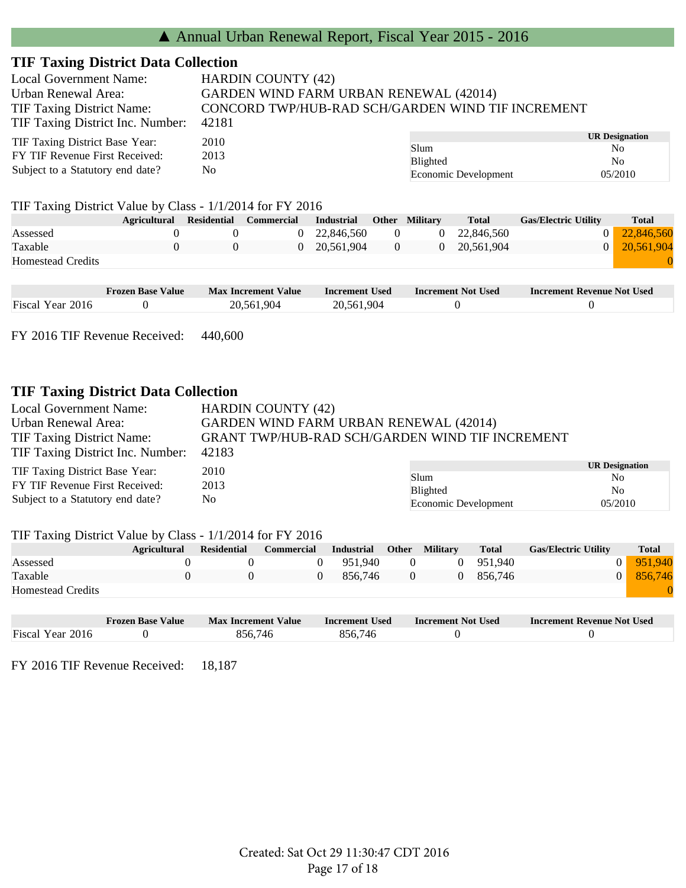| <b>Local Government Name:</b>                           | <b>HARDIN COUNTY (42)</b>                                                                          |                      |                       |  |  |
|---------------------------------------------------------|----------------------------------------------------------------------------------------------------|----------------------|-----------------------|--|--|
| Urban Renewal Area:<br><b>TIF Taxing District Name:</b> | <b>GARDEN WIND FARM URBAN RENEWAL (42014)</b><br>CONCORD TWP/HUB-RAD SCH/GARDEN WIND TIF INCREMENT |                      |                       |  |  |
| TIF Taxing District Inc. Number:                        | 42181                                                                                              |                      |                       |  |  |
| TIF Taxing District Base Year:                          | 2010                                                                                               |                      | <b>UR Designation</b> |  |  |
|                                                         |                                                                                                    | Slum                 | N <sub>0</sub>        |  |  |
| FY TIF Revenue First Received:                          | 2013                                                                                               | <b>Blighted</b>      | N <sub>0</sub>        |  |  |
| Subject to a Statutory end date?<br>No                  |                                                                                                    | Economic Development | 05/2010               |  |  |

#### TIF Taxing District Value by Class - 1/1/2014 for FY 2016

|                          | <b>Agricultural</b> | Residential | Commercial | <b>Industrial</b> | <b>Other Military</b> | <b>Total</b> | <b>Gas/Electric Utility</b> | <b>Total</b> |
|--------------------------|---------------------|-------------|------------|-------------------|-----------------------|--------------|-----------------------------|--------------|
| Assessed                 |                     |             |            | 0 22.846.560      |                       | 0 22,846,560 | $\Omega$                    | 22,846,560   |
| Taxable                  |                     |             |            | 20.561.904        |                       | 0 20,561,904 | $\overline{0}$              | 20,561,904   |
| <b>Homestead Credits</b> |                     |             |            |                   |                       |              |                             |              |
|                          |                     |             |            |                   |                       |              |                             |              |

|                  | <b>Frozen Base Value</b> | <b>Max Increment Value</b> | Increment Used | <b>Increment Not Used</b> | <b>Increment Revenue Not Used</b> |
|------------------|--------------------------|----------------------------|----------------|---------------------------|-----------------------------------|
| Fiscal Year 2016 |                          | 20.561.904                 | 20,561,904     |                           |                                   |

FY 2016 TIF Revenue Received: 440,600

#### **TIF Taxing District Data Collection**

| <b>Local Government Name:</b>                      | <b>HARDIN COUNTY (42)</b>                              |                      |                       |  |
|----------------------------------------------------|--------------------------------------------------------|----------------------|-----------------------|--|
| Urban Renewal Area:                                | <b>GARDEN WIND FARM URBAN RENEWAL (42014)</b>          |                      |                       |  |
| <b>TIF Taxing District Name:</b>                   | <b>GRANT TWP/HUB-RAD SCH/GARDEN WIND TIF INCREMENT</b> |                      |                       |  |
| TIF Taxing District Inc. Number:                   | 42183                                                  |                      |                       |  |
| TIF Taxing District Base Year:                     | 2010                                                   |                      | <b>UR Designation</b> |  |
|                                                    |                                                        | Slum                 | N <sub>0</sub>        |  |
| FY TIF Revenue First Received:                     | 2013                                                   | Blighted             | N <sub>0</sub>        |  |
| Subject to a Statutory end date?<br>N <sub>0</sub> |                                                        | Economic Development | 05/2010               |  |

#### TIF Taxing District Value by Class - 1/1/2014 for FY 2016

|                          | <b>Agricultural</b> | Residential | <b>Commercial</b> | <b>Industrial</b> | Other        | <b>Military</b> | <b>Total</b> | <b>Gas/Electric Utility</b> | <b>Total</b> |
|--------------------------|---------------------|-------------|-------------------|-------------------|--------------|-----------------|--------------|-----------------------------|--------------|
| Assessed                 |                     |             |                   | 0 951.940         | $\mathbf{U}$ |                 | 0 951,940    |                             | 951.940      |
| Taxable                  |                     |             |                   | 856.746           |              |                 | 856.746      | $\overline{0}$              | 856,746      |
| <b>Homestead Credits</b> |                     |             |                   |                   |              |                 |              |                             |              |

|                  | <b>Frozen Base Value</b> | <b>Max Increment Value</b> | Increment Used | <b>Increment Not Used</b> | <b>Increment Revenue Not Used</b> |
|------------------|--------------------------|----------------------------|----------------|---------------------------|-----------------------------------|
| Fiscal Year 2016 |                          | 856.746                    | 856,746        |                           |                                   |

FY 2016 TIF Revenue Received: 18,187